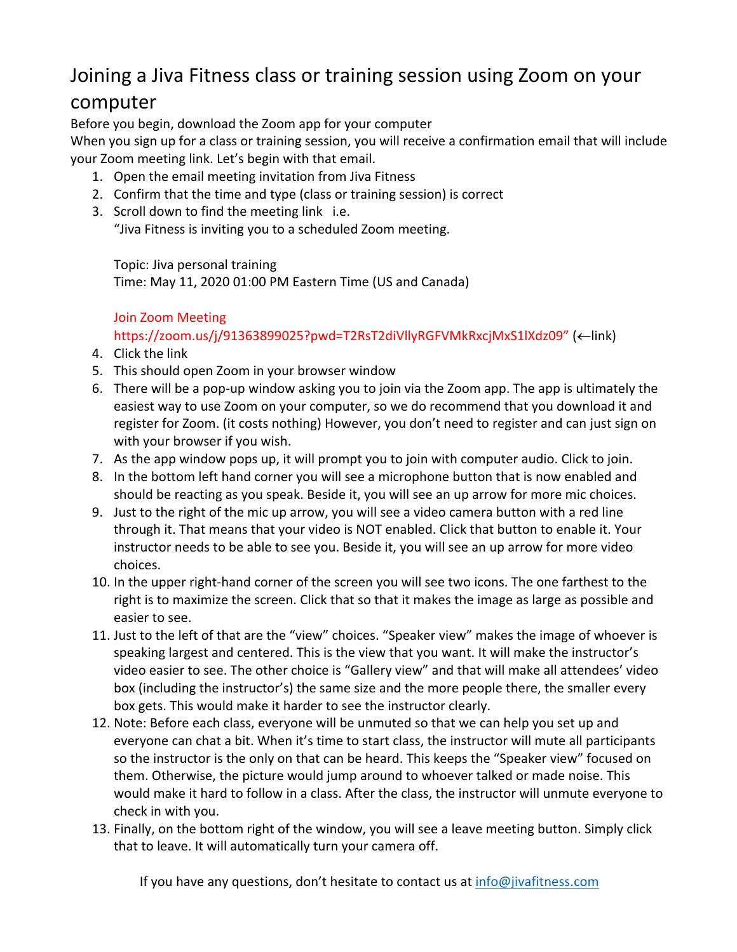# Joining a Jiva Fitness class or training session using Zoom on your

### computer

Before you begin, download the Zoom app for your computer

When you sign up for a class or training session, you will receive a confirmation email that will include your Zoom meeting link. Let's begin with that email.

- 1. Open the email meeting invitation from Jiva Fitness
- 2. Confirm that the time and type (class or training session) is correct
- 3. Scroll down to find the meeting link i.e. "Jiva Fitness is inviting you to a scheduled Zoom meeting.

Topic: Jiva personal training

Time: May 11, 2020 01:00 PM Eastern Time (US and Canada)

### Join Zoom Meeting

https://zoom.us/j/91363899025?pwd=T2RsT2diVllyRGFVMkRxcjMxS1lXdz09" (<-link)

- 4. Click the link
- 5. This should open Zoom in your browser window
- 6. There will be a pop-up window asking you to join via the Zoom app. The app is ultimately the easiest way to use Zoom on your computer, so we do recommend that you download it and register for Zoom. (it costs nothing) However, you don't need to register and can just sign on with your browser if you wish.
- 7. As the app window pops up, it will prompt you to join with computer audio. Click to join.
- 8. In the bottom left hand corner you will see a microphone button that is now enabled and should be reacting as you speak. Beside it, you will see an up arrow for more mic choices.
- 9. Just to the right of the mic up arrow, you will see a video camera button with a red line through it. That means that your video is NOT enabled. Click that button to enable it. Your instructor needs to be able to see you. Beside it, you will see an up arrow for more video choices.
- 10. In the upper right-hand corner of the screen you will see two icons. The one farthest to the right is to maximize the screen. Click that so that it makes the image as large as possible and easier to see.
- 11. Just to the left of that are the "view" choices. "Speaker view" makes the image of whoever is speaking largest and centered. This is the view that you want. It will make the instructor's video easier to see. The other choice is "Gallery view" and that will make all attendees' video box (including the instructor's) the same size and the more people there, the smaller every box gets. This would make it harder to see the instructor clearly.
- 12. Note: Before each class, everyone will be unmuted so that we can help you set up and everyone can chat a bit. When it's time to start class, the instructor will mute all participants so the instructor is the only on that can be heard. This keeps the "Speaker view" focused on them. Otherwise, the picture would jump around to whoever talked or made noise. This would make it hard to follow in a class. After the class, the instructor will unmute everyone to check in with you.
- 13. Finally, on the bottom right of the window, you will see a leave meeting button. Simply click that to leave. It will automatically turn your camera off.

If you have any questions, don't hesitate to contact us at info@jivafitness.com